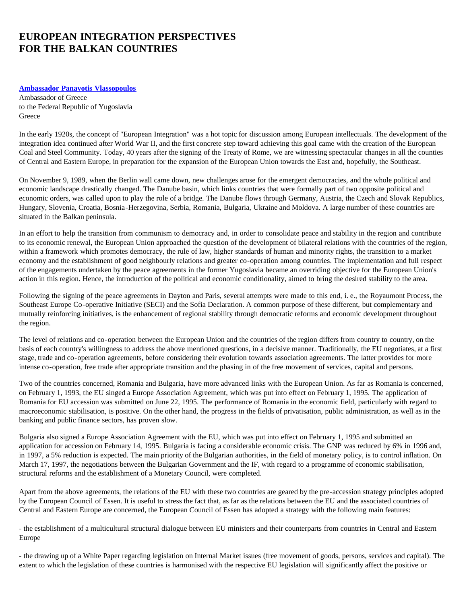## **EUROPEAN INTEGRATION PERSPECTIVES FOR THE BALKAN COUNTRIES**

## **[Ambassador Panayotis Vlassopoulos](#page-2-0)**

Ambassador of Greece to the Federal Republic of Yugoslavia **Greece** 

In the early 1920s, the concept of "European Integration" was a hot topic for discussion among European intellectuals. The development of the integration idea continued after World War II, and the first concrete step toward achieving this goal came with the creation of the European Coal and Steel Community. Today, 40 years after the signing of the Treaty of Rome, we are witnessing spectacular changes in all the counties of Central and Eastern Europe, in preparation for the expansion of the European Union towards the East and, hopefully, the Southeast.

On November 9, 1989, when the Berlin wall came down, new challenges arose for the emergent democracies, and the whole political and economic landscape drastically changed. The Danube basin, which links countries that were formally part of two opposite political and economic orders, was called upon to play the role of a bridge. The Danube flows through Germany, Austria, the Czech and Slovak Republics, Hungary, Slovenia, Croatia, Bosnia-Herzegovina, Serbia, Romania, Bulgaria, Ukraine and Moldova. A large number of these countries are situated in the Balkan peninsula.

In an effort to help the transition from communism to democracy and, in order to consolidate peace and stability in the region and contribute to its economic renewal, the European Union approached the question of the development of bilateral relations with the countries of the region, within a framework which promotes democracy, the rule of law, higher standards of human and minority rights, the transition to a market economy and the establishment of good neighbourly relations and greater co-operation among countries. The implementation and full respect of the engagements undertaken by the peace agreements in the former Yugoslavia became an overriding objective for the European Union's action in this region. Hence, the introduction of the political and economic conditionality, aimed to bring the desired stability to the area.

Following the signing of the peace agreements in Dayton and Paris, several attempts were made to this end, i. e., the Royaumont Process, the Southeast Europe Co-operative Initiative (SECI) and the Sofia Declaration. A common purpose of these different, but complementary and mutually reinforcing initiatives, is the enhancement of regional stability through democratic reforms and economic development throughout the region.

The level of relations and co-operation between the European Union and the countries of the region differs from country to country, on the basis of each country's willingness to address the above mentioned questions, in a decisive manner. Traditionally, the EU negotiates, at a first stage, trade and co-operation agreements, before considering their evolution towards association agreements. The latter provides for more intense co-operation, free trade after appropriate transition and the phasing in of the free movement of services, capital and persons.

Two of the countries concerned, Romania and Bulgaria, have more advanced links with the European Union. As far as Romania is concerned, on February 1, 1993, the EU singed a Europe Association Agreement, which was put into effect on February 1, 1995. The application of Romania for EU accession was submitted on June 22, 1995. The performance of Romania in the economic field, particularly with regard to macroeconomic stabilisation, is positive. On the other hand, the progress in the fields of privatisation, public administration, as well as in the banking and public finance sectors, has proven slow.

Bulgaria also signed a Europe Association Agreement with the EU, which was put into effect on February 1, 1995 and submitted an application for accession on February 14, 1995. Bulgaria is facing a considerable economic crisis. The GNP was reduced by 6% in 1996 and, in 1997, a 5% reduction is expected. The main priority of the Bulgarian authorities, in the field of monetary policy, is to control inflation. On March 17, 1997, the negotiations between the Bulgarian Government and the IF, with regard to a programme of economic stabilisation, structural reforms and the establishment of a Monetary Council, were completed.

Apart from the above agreements, the relations of the EU with these two countries are geared by the pre-accession strategy principles adopted by the European Council of Essen. It is useful to stress the fact that, as far as the relations between the EU and the associated countries of Central and Eastern Europe are concerned, the European Council of Essen has adopted a strategy with the following main features:

- the establishment of a multicultural structural dialogue between EU ministers and their counterparts from countries in Central and Eastern Europe

- the drawing up of a White Paper regarding legislation on Internal Market issues (free movement of goods, persons, services and capital). The extent to which the legislation of these countries is harmonised with the respective EU legislation will significantly affect the positive or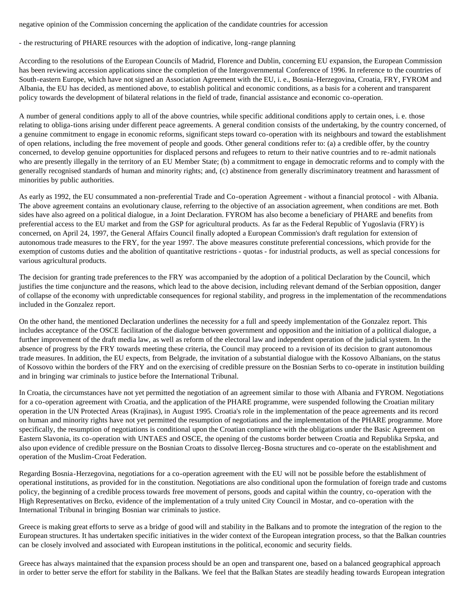negative opinion of the Commission concerning the application of the candidate countries for accession

- the restructuring of PHARE resources with the adoption of indicative, long-range planning

According to the resolutions of the European Councils of Madrid, Florence and Dublin, concerning EU expansion, the European Commission has been reviewing accession applications since the completion of the Intergovernmental Conference of 1996. In reference to the countries of South-eastern Europe, which have not signed an Association Agreement with the EU, i. e., Bosnia-Herzegovina, Croatia, FRY, FYROM and Albania, the EU has decided, as mentioned above, to establish political and economic conditions, as a basis for a coherent and transparent policy towards the development of bilateral relations in the field of trade, financial assistance and economic co-operation.

A number of general conditions apply to all of the above countries, while specific additional conditions apply to certain ones, i. e. those relating to obliga-tions arising under different peace agreements. A general condition consists of the undertaking, by the country concerned, of a genuine commitment to engage in economic reforms, significant steps toward co-operation with its neighbours and toward the establishment of open relations, including the free movement of people and goods. Other general conditions refer to: (a) a credible offer, by the country concerned, to develop genuine opportunities for displaced persons and refugees to return to their native countries and to re-admit nationals who are presently illegally in the territory of an EU Member State; (b) a commitment to engage in democratic reforms and to comply with the generally recognised standards of human and minority rights; and, (c) abstinence from generally discriminatory treatment and harassment of minorities by public authorities.

As early as 1992, the EU consummated a non-preferential Trade and Co-operation Agreement - without a financial protocol - with Albania. The above agreement contains an evolutionary clause, referring to the objective of an association agreement, when conditions are met. Both sides have also agreed on a political dialogue, in a Joint Declaration. FYROM has also become a beneficiary of PHARE and benefits from preferential access to the EU market and from the GSP for agricultural products. As far as the Federal Republic of Yugoslavia (FRY) is concerned, on April 24, 1997, the General Affairs Council finally adopted a European Commission's draft regulation for extension of autonomous trade measures to the FRY, for the year 1997. The above measures constitute preferential concessions, which provide for the exemption of customs duties and the abolition of quantitative restrictions - quotas - for industrial products, as well as special concessions for various agricultural products.

The decision for granting trade preferences to the FRY was accompanied by the adoption of a political Declaration by the Council, which justifies the time conjuncture and the reasons, which lead to the above decision, including relevant demand of the Serbian opposition, danger of collapse of the economy with unpredictable consequences for regional stability, and progress in the implementation of the recommendations included in the Gonzalez report.

On the other hand, the mentioned Declaration underlines the necessity for a full and speedy implementation of the Gonzalez report. This includes acceptance of the OSCE facilitation of the dialogue between government and opposition and the initiation of a political dialogue, a further improvement of the draft media law, as well as reform of the electoral law and independent operation of the judicial system. In the absence of progress by the FRY towards meeting these criteria, the Council may proceed to a revision of its decision to grant autonomous trade measures. In addition, the EU expects, from Belgrade, the invitation of a substantial dialogue with the Kossovo Albanians, on the status of Kossovo within the borders of the FRY and on the exercising of credible pressure on the Bosnian Serbs to co-operate in institution building and in bringing war criminals to justice before the International Tribunal.

In Croatia, the circumstances have not yet permitted the negotiation of an agreement similar to those with Albania and FYROM. Negotiations for a co-operation agreement with Croatia, and the application of the PHARE programme, were suspended following the Croatian military operation in the UN Protected Areas (Krajinas), in August 1995. Croatia's role in the implementation of the peace agreements and its record on human and minority rights have not yet permitted the resumption of negotiations and the implementation of the PHARE programme. More specifically, the resumption of negotiations is conditional upon the Croatian compliance with the obligations under the Basic Agreement on Eastern Slavonia, its co-operation with UNTAES and OSCE, the opening of the customs border between Croatia and Republika Srpska, and also upon evidence of credible pressure on the Bosnian Croats to dissolve Ilerceg-Bosna structures and co-operate on the establishment and operation of the Muslim-Croat Federation.

Regarding Bosnia-Herzegovina, negotiations for a co-operation agreement with the EU will not be possible before the establishment of operational institutions, as provided for in the constitution. Negotiations are also conditional upon the formulation of foreign trade and customs policy, the beginning of a credible process towards free movement of persons, goods and capital within the country, co-operation with the High Representatives on Brcko, evidence of the implementation of a truly united City Council in Mostar, and co-operation with the International Tribunal in bringing Bosnian war criminals to justice.

Greece is making great efforts to serve as a bridge of good will and stability in the Balkans and to promote the integration of the region to the European structures. It has undertaken specific initiatives in the wider context of the European integration process, so that the Balkan countries can be closely involved and associated with European institutions in the political, economic and security fields.

Greece has always maintained that the expansion process should be an open and transparent one, based on a balanced geographical approach in order to better serve the effort for stability in the Balkans. We feel that the Balkan States are steadily heading towards European integration